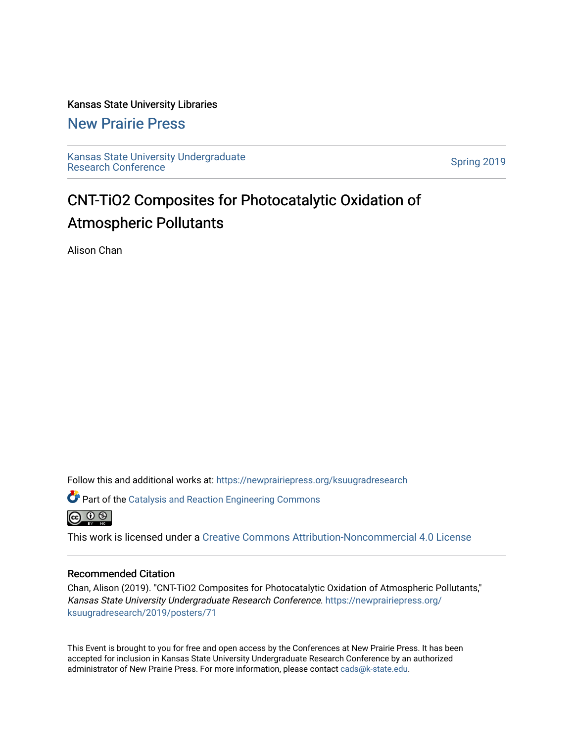Kansas State University Libraries

[New Prairie Press](https://newprairiepress.org/) 

[Kansas State University Undergraduate](https://newprairiepress.org/ksuugradresearch)  Ransas State University Undergraduate<br>[Research Conference](https://newprairiepress.org/ksuugradresearch)

## CNT-TiO2 Composites for Photocatalytic Oxidation of Atmospheric Pollutants

Alison Chan

Follow this and additional works at: [https://newprairiepress.org/ksuugradresearch](https://newprairiepress.org/ksuugradresearch?utm_source=newprairiepress.org%2Fksuugradresearch%2F2019%2Fposters%2F71&utm_medium=PDF&utm_campaign=PDFCoverPages) 

Part of the [Catalysis and Reaction Engineering Commons](http://network.bepress.com/hgg/discipline/242?utm_source=newprairiepress.org%2Fksuugradresearch%2F2019%2Fposters%2F71&utm_medium=PDF&utm_campaign=PDFCoverPages) 



This work is licensed under a [Creative Commons Attribution-Noncommercial 4.0 License](https://creativecommons.org/licenses/by-nc/4.0/)

### Recommended Citation

Chan, Alison (2019). "CNT-TiO2 Composites for Photocatalytic Oxidation of Atmospheric Pollutants," Kansas State University Undergraduate Research Conference. [https://newprairiepress.org/](https://newprairiepress.org/ksuugradresearch/2019/posters/71) [ksuugradresearch/2019/posters/71](https://newprairiepress.org/ksuugradresearch/2019/posters/71)

This Event is brought to you for free and open access by the Conferences at New Prairie Press. It has been accepted for inclusion in Kansas State University Undergraduate Research Conference by an authorized administrator of New Prairie Press. For more information, please contact [cads@k-state.edu](mailto:cads@k-state.edu).